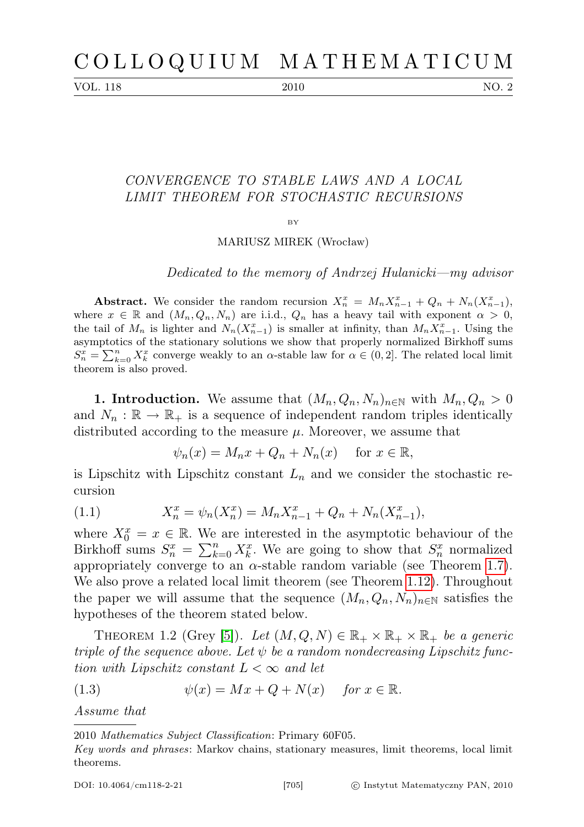VOL. 118 2010 2010

## CONVERGENCE TO STABLE LAWS AND A LOCAL LIMIT THEOREM FOR STOCHASTIC RECURSIONS

BY

MARIUSZ MIREK (Wrocław)

Dedicated to the memory of Andrzej Hulanicki—my advisor

Abstract. We consider the random recursion  $X_n^x = M_n X_{n-1}^x + Q_n + N_n (X_{n-1}^x)$ , where  $x \in \mathbb{R}$  and  $(M_n, Q_n, N_n)$  are i.i.d.,  $Q_n$  has a heavy tail with exponent  $\alpha > 0$ , the tail of  $M_n$  is lighter and  $N_n(X_{n-1}^x)$  is smaller at infinity, than  $M_nX_{n-1}^x$ . Using the asymptotics of the stationary solutions we show that properly normalized Birkhoff sums  $S_n^x = \sum_{k=0}^n X_k^x$  converge weakly to an  $\alpha$ -stable law for  $\alpha \in (0, 2]$ . The related local limit theorem is also proved.

1. Introduction. We assume that  $(M_n, Q_n, N_n)_{n \in \mathbb{N}}$  with  $M_n, Q_n > 0$ and  $N_n : \mathbb{R} \to \mathbb{R}_+$  is a sequence of independent random triples identically distributed according to the measure  $\mu$ . Moreover, we assume that

$$
\psi_n(x) = M_n x + Q_n + N_n(x) \quad \text{for } x \in \mathbb{R},
$$

is Lipschitz with Lipschitz constant  $L_n$  and we consider the stochastic recursion

<span id="page-0-0"></span>(1.1) 
$$
X_n^x = \psi_n(X_n^x) = M_n X_{n-1}^x + Q_n + N_n(X_{n-1}^x),
$$

where  $X_0^x = x \in \mathbb{R}$ . We are interested in the asymptotic behaviour of the Birkhoff sums  $S_n^x = \sum_{k=0}^n X_k^x$ . We are going to show that  $S_n^x$  normalized appropriately converge to an  $\alpha$ -stable random variable (see Theorem [1.7\)](#page-1-0). We also prove a related local limit theorem (see Theorem [1.12\)](#page-2-0). Throughout the paper we will assume that the sequence  $(M_n, Q_n, N_n)_{n \in \mathbb{N}}$  satisfies the hypotheses of the theorem stated below.

<span id="page-0-1"></span>THEOREM 1.2 (Grey [\[5\]](#page-14-0)). Let  $(M, Q, N) \in \mathbb{R}_+ \times \mathbb{R}_+ \times \mathbb{R}_+$  be a generic triple of the sequence above. Let  $\psi$  be a random nondecreasing Lipschitz function with Lipschitz constant  $L < \infty$  and let

(1.3) 
$$
\psi(x) = Mx + Q + N(x) \quad \text{for } x \in \mathbb{R}.
$$

Assume that

<sup>2010</sup> Mathematics Subject Classification: Primary 60F05.

Key words and phrases: Markov chains, stationary measures, limit theorems, local limit theorems.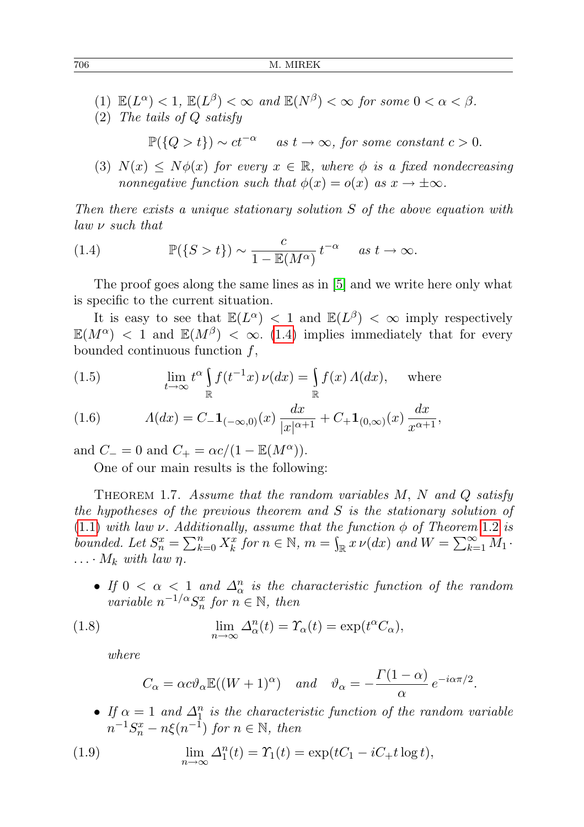- (1)  $\mathbb{E}(L^{\alpha}) < 1$ ,  $\mathbb{E}(L^{\beta}) < \infty$  and  $\mathbb{E}(N^{\beta}) < \infty$  for some  $0 < \alpha < \beta$ .
- (2) The tails of Q satisfy

$$
\mathbb{P}(\{Q > t\}) \sim ct^{-\alpha} \quad \text{as } t \to \infty, \text{ for some constant } c > 0.
$$

(3)  $N(x) \leq N\phi(x)$  for every  $x \in \mathbb{R}$ , where  $\phi$  is a fixed nondecreasing nonnegative function such that  $\phi(x) = o(x)$  as  $x \to \pm \infty$ .

Then there exists a unique stationary solution S of the above equation with law ν such that

<span id="page-1-1"></span>(1.4) 
$$
\mathbb{P}(\{S > t\}) \sim \frac{c}{1 - \mathbb{E}(M^{\alpha})} t^{-\alpha} \quad as \ t \to \infty.
$$

The proof goes along the same lines as in [\[5\]](#page-14-0) and we write here only what is specific to the current situation.

It is easy to see that  $\mathbb{E}(L^{\alpha}) < 1$  and  $\mathbb{E}(L^{\beta}) < \infty$  imply respectively  $\mathbb{E}(M^{\alpha})$  < 1 and  $\mathbb{E}(M^{\beta})$  <  $\infty$ . [\(1.4\)](#page-1-1) implies immediately that for every bounded continuous function  $f$ ,

<span id="page-1-2"></span>(1.5) 
$$
\lim_{t \to \infty} t^{\alpha} \int_{\mathbb{R}} f(t^{-1}x) \nu(dx) = \int_{\mathbb{R}} f(x) \Lambda(dx), \quad \text{where}
$$

(1.6) 
$$
\Lambda(dx) = C_- \mathbf{1}_{(-\infty,0)}(x) \frac{dx}{|x|^{\alpha+1}} + C_+ \mathbf{1}_{(0,\infty)}(x) \frac{dx}{x^{\alpha+1}},
$$

and  $C_-=0$  and  $C_+=\alpha c/(1-\mathbb{E}(M^{\alpha}))$ .

One of our main results is the following:

<span id="page-1-0"></span>THEOREM 1.7. Assume that the random variables  $M$ ,  $N$  and  $Q$  satisfy the hypotheses of the previous theorem and S is the stationary solution of [\(1.1\)](#page-0-0) with law  $\nu$ . Additionally, assume that the function  $\phi$  of Theorem [1.2](#page-0-1) is bounded. Let  $S_n^x = \sum_{k=0}^n X_k^x$  for  $n \in \mathbb{N}$ ,  $m = \int_{\mathbb{R}} x \nu(dx)$  and  $W = \sum_{k=1}^{\infty} M_1$ .  $\ldots$   $M_k$  with law  $\eta$ .

• If  $0 < \alpha < 1$  and  $\Delta_{\alpha}^{n}$  is the characteristic function of the random variable  $n^{-1/\alpha} S_n^x$  for  $n \in \mathbb{N}$ , then

<span id="page-1-3"></span>(1.8) 
$$
\lim_{n \to \infty} \Delta_{\alpha}^{n}(t) = \Upsilon_{\alpha}(t) = \exp(t^{\alpha}C_{\alpha}),
$$

where

$$
C_{\alpha} = \alpha c \vartheta_{\alpha} \mathbb{E}((W+1)^{\alpha}) \quad \text{and} \quad \vartheta_{\alpha} = -\frac{\Gamma(1-\alpha)}{\alpha} e^{-i\alpha \pi/2}.
$$

• If  $\alpha = 1$  and  $\Delta_1^n$  is the characteristic function of the random variable  $n^{-1}S_n^x - n\xi(n^{-1})$  for  $n \in \mathbb{N}$ , then

<span id="page-1-4"></span>(1.9) 
$$
\lim_{n \to \infty} \Delta_1^n(t) = \Upsilon_1(t) = \exp(tC_1 - iC_+ t \log t),
$$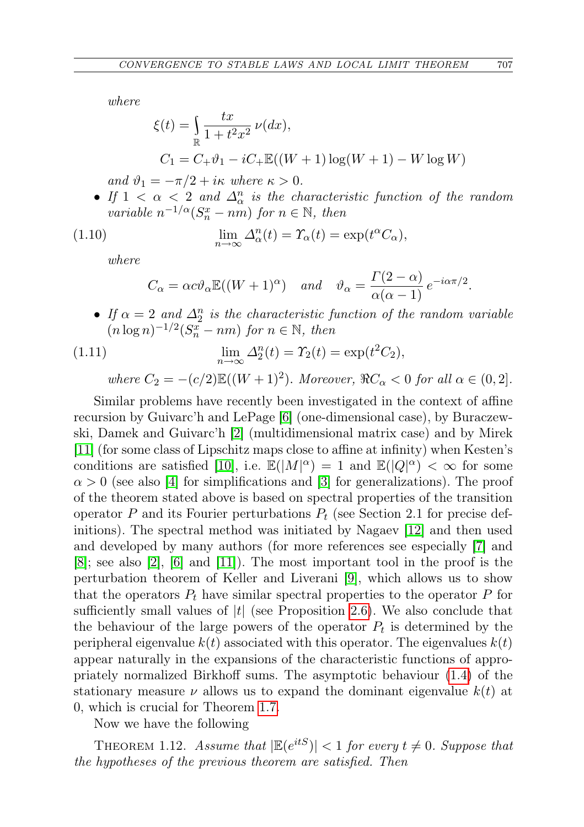where

$$
\xi(t) = \int_{\mathbb{R}} \frac{tx}{1 + t^2 x^2} \nu(dx),
$$
  
\n
$$
C_1 = C_+ \vartheta_1 - iC_+ \mathbb{E}((W+1)\log(W+1) - W \log W)
$$

and  $\vartheta_1 = -\pi/2 + i\kappa$  where  $\kappa > 0$ .

• If  $1 < \alpha < 2$  and  $\Delta_{\alpha}^{n}$  is the characteristic function of the random variable  $n^{-1/\alpha}(S_n^x - nm)$  for  $n \in \mathbb{N}$ , then

(1.10) 
$$
\lim_{n \to \infty} \Delta_{\alpha}^{n}(t) = \Upsilon_{\alpha}(t) = \exp(t^{\alpha}C_{\alpha}),
$$

where

$$
C_{\alpha} = \alpha c \vartheta_{\alpha} \mathbb{E}((W+1)^{\alpha})
$$
 and  $\vartheta_{\alpha} = \frac{\Gamma(2-\alpha)}{\alpha(\alpha-1)} e^{-i\alpha \pi/2}$ .

• If  $\alpha = 2$  and  $\Delta_2^n$  is the characteristic function of the random variable  $(n \log n)^{-1/2} (S_n^{\overline{x}} - nm)$  for  $n \in \mathbb{N}$ , then

(1.11) 
$$
\lim_{n \to \infty} \Delta_2^n(t) = \Upsilon_2(t) = \exp(t^2 C_2),
$$

where  $C_2 = -(c/2)\mathbb{E}((W+1)^2)$ . Moreover,  $\Re C_{\alpha} < 0$  for all  $\alpha \in (0,2]$ .

Similar problems have recently been investigated in the context of affine recursion by Guivarc'h and LePage [\[6\]](#page-14-1) (one-dimensional case), by Buraczewski, Damek and Guivarc'h [\[2\]](#page-14-2) (multidimensional matrix case) and by Mirek [\[11\]](#page-15-0) (for some class of Lipschitz maps close to affine at infinity) when Kesten's conditions are satisfied [\[10\]](#page-15-1), i.e.  $\mathbb{E}(|M|^{\alpha}) = 1$  and  $\mathbb{E}(|Q|^{\alpha}) < \infty$  for some  $\alpha > 0$  (see also [\[4\]](#page-14-3) for simplifications and [\[3\]](#page-14-4) for generalizations). The proof of the theorem stated above is based on spectral properties of the transition operator P and its Fourier perturbations  $P_t$  (see Section 2.1 for precise definitions). The spectral method was initiated by Nagaev [\[12\]](#page-15-2) and then used and developed by many authors (for more references see especially [\[7\]](#page-14-5) and  $[8]$ ; see also  $[2]$ ,  $[6]$  and  $[11]$ ). The most important tool in the proof is the perturbation theorem of Keller and Liverani [\[9\]](#page-15-3), which allows us to show that the operators  $P_t$  have similar spectral properties to the operator P for sufficiently small values of  $|t|$  (see Proposition [2.6\)](#page-4-0). We also conclude that the behaviour of the large powers of the operator  $P_t$  is determined by the peripheral eigenvalue  $k(t)$  associated with this operator. The eigenvalues  $k(t)$ appear naturally in the expansions of the characteristic functions of appropriately normalized Birkhoff sums. The asymptotic behaviour [\(1.4\)](#page-1-1) of the stationary measure  $\nu$  allows us to expand the dominant eigenvalue  $k(t)$  at 0, which is crucial for Theorem [1.7.](#page-1-0)

Now we have the following

<span id="page-2-0"></span>THEOREM 1.12. Assume that  $|\mathbb{E}(e^{itS})| < 1$  for every  $t \neq 0$ . Suppose that the hypotheses of the previous theorem are satisfied. Then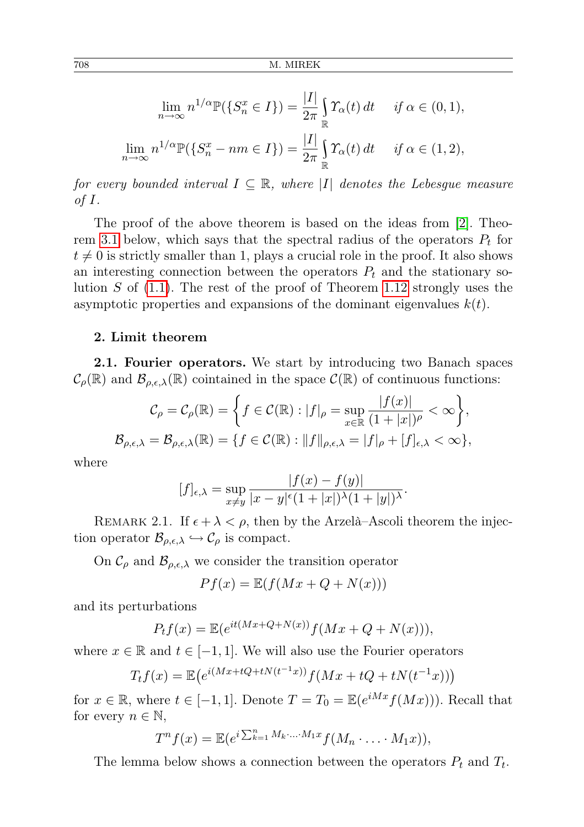$$
\lim_{n \to \infty} n^{1/\alpha} \mathbb{P}(\{S_n^x \in I\}) = \frac{|I|}{2\pi} \int_{\mathbb{R}} \Upsilon_\alpha(t) dt \quad \text{if } \alpha \in (0, 1),
$$
  

$$
\lim_{n \to \infty} n^{1/\alpha} \mathbb{P}(\{S_n^x - nm \in I\}) = \frac{|I|}{2\pi} \int_{\mathbb{R}} \Upsilon_\alpha(t) dt \quad \text{if } \alpha \in (1, 2),
$$

for every bounded interval  $I \subseteq \mathbb{R}$ , where |I| denotes the Lebesgue measure of  $I$ .

The proof of the above theorem is based on the ideas from [\[2\]](#page-14-2). Theo-rem [3.1](#page-11-0) below, which says that the spectral radius of the operators  $P_t$  for  $t \neq 0$  is strictly smaller than 1, plays a crucial role in the proof. It also shows an interesting connection between the operators  $P_t$  and the stationary solution S of  $(1.1)$ . The rest of the proof of Theorem [1.12](#page-2-0) strongly uses the asymptotic properties and expansions of the dominant eigenvalues  $k(t)$ .

## 2. Limit theorem

2.1. Fourier operators. We start by introducing two Banach spaces  $\mathcal{C}_{\rho}(\mathbb{R})$  and  $\mathcal{B}_{\rho,\epsilon,\lambda}(\mathbb{R})$  cointained in the space  $\mathcal{C}(\mathbb{R})$  of continuous functions:

$$
\mathcal{C}_{\rho} = \mathcal{C}_{\rho}(\mathbb{R}) = \left\{ f \in \mathcal{C}(\mathbb{R}) : |f|_{\rho} = \sup_{x \in \mathbb{R}} \frac{|f(x)|}{(1+|x|)^{\rho}} < \infty \right\},\
$$

$$
\mathcal{B}_{\rho,\epsilon,\lambda} = \mathcal{B}_{\rho,\epsilon,\lambda}(\mathbb{R}) = \left\{ f \in \mathcal{C}(\mathbb{R}) : ||f||_{\rho,\epsilon,\lambda} = |f|_{\rho} + [f]_{\epsilon,\lambda} < \infty \right\},\
$$

where

$$
[f]_{\epsilon,\lambda} = \sup_{x \neq y} \frac{|f(x) - f(y)|}{|x - y|^{\epsilon} (1 + |x|)^{\lambda} (1 + |y|)^{\lambda}}.
$$

REMARK 2.1. If  $\epsilon + \lambda < \rho$ , then by the Arzelà–Ascoli theorem the injection operator  $\mathcal{B}_{\rho,\epsilon,\lambda} \hookrightarrow \mathcal{C}_{\rho}$  is compact.

On  $\mathcal{C}_{\rho}$  and  $\mathcal{B}_{\rho,\epsilon,\lambda}$  we consider the transition operator

$$
Pf(x) = \mathbb{E}(f(Mx + Q + N(x)))
$$

and its perturbations

$$
P_t f(x) = \mathbb{E}(e^{it(Mx + Q + N(x))} f(Mx + Q + N(x))),
$$

where  $x \in \mathbb{R}$  and  $t \in [-1, 1]$ . We will also use the Fourier operators

$$
T_t f(x) = \mathbb{E}\left(e^{i(Mx + tQ + tN(t^{-1}x))} f(Mx + tQ + tN(t^{-1}x))\right)
$$

for  $x \in \mathbb{R}$ , where  $t \in [-1, 1]$ . Denote  $T = T_0 = \mathbb{E}(e^{iMx}f(Mx))$ . Recall that for every  $n \in \mathbb{N}$ ,

$$
T^n f(x) = \mathbb{E}(e^{i \sum_{k=1}^n M_k \cdot \ldots \cdot M_1 x} f(M_n \cdot \ldots \cdot M_1 x)),
$$

The lemma below shows a connection between the operators  $P_t$  and  $T_t$ .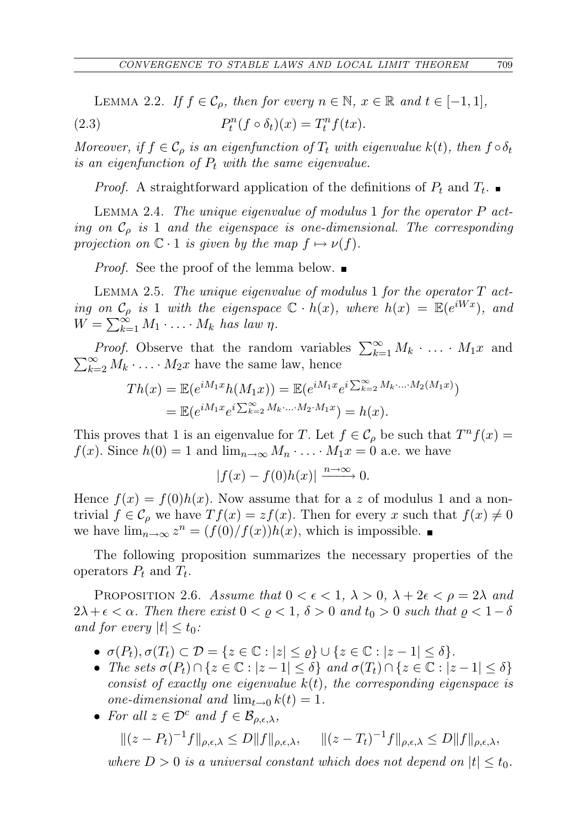LEMMA 2.2. If  $f \in \mathcal{C}_o$ , then for every  $n \in \mathbb{N}$ ,  $x \in \mathbb{R}$  and  $t \in [-1,1]$ , (2.3)  $P_t^n(f \circ \delta_t)(x) = T_t^n f(tx).$ 

Moreover, if  $f \in \mathcal{C}_{\rho}$  is an eigenfunction of  $T_t$  with eigenvalue  $k(t)$ , then  $f \circ \delta_t$ is an eigenfunction of  $P_t$  with the same eigenvalue.

*Proof.* A straightforward application of the definitions of  $P_t$  and  $T_t$ .

<span id="page-4-1"></span>Lemma 2.4. The unique eigenvalue of modulus 1 for the operator P acting on  $C<sub>o</sub>$  is 1 and the eigenspace is one-dimensional. The corresponding projection on  $\mathbb{C} \cdot 1$  is given by the map  $f \mapsto \nu(f)$ .

*Proof.* See the proof of the lemma below.

<span id="page-4-2"></span>LEMMA 2.5. The unique eigenvalue of modulus 1 for the operator  $T$  acting on  $\mathcal{C}_{\rho}$  is 1 with the eigenspace  $\mathbb{C} \cdot h(x)$ , where  $h(x) = \mathbb{E}(e^{iWx})$ , and  $W = \sum_{k=1}^{\infty} M_1 \cdot \ldots \cdot M_k$  has law  $\eta$ .

*Proof.* Observe that the random variables  $\sum_{k=1}^{\infty} M_k \cdot \ldots \cdot M_1 x$  and  $\sum_{k=2}^{\infty} M_k \cdot \ldots \cdot M_2 x$  have the same law, hence

$$
Th(x) = \mathbb{E}(e^{iM_1x}h(M_1x)) = \mathbb{E}(e^{iM_1x}e^{i\sum_{k=2}^{\infty}M_k\cdot\ldots\cdot M_2(M_1x)})
$$
  
=  $\mathbb{E}(e^{iM_1x}e^{i\sum_{k=2}^{\infty}M_k\cdot\ldots\cdot M_2\cdot M_1x}) = h(x).$ 

This proves that 1 is an eigenvalue for T. Let  $f \in \mathcal{C}_{\rho}$  be such that  $T^n f(x) =$  $f(x)$ . Since  $h(0) = 1$  and  $\lim_{n \to \infty} M_n \cdot \ldots \cdot M_1 x = 0$  a.e. we have

$$
|f(x) - f(0)h(x)| \xrightarrow{n \to \infty} 0.
$$

Hence  $f(x) = f(0)h(x)$ . Now assume that for a z of modulus 1 and a nontrivial  $f \in \mathcal{C}_{\rho}$  we have  $Tf(x) = zf(x)$ . Then for every x such that  $f(x) \neq 0$ we have  $\lim_{n\to\infty} z^n = (f(0)/f(x))h(x)$ , which is impossible.

The following proposition summarizes the necessary properties of the operators  $P_t$  and  $T_t$ .

<span id="page-4-0"></span>PROPOSITION 2.6. Assume that  $0 < \epsilon < 1$ ,  $\lambda > 0$ ,  $\lambda + 2\epsilon < \rho = 2\lambda$  and  $2\lambda + \epsilon < \alpha$ . Then there exist  $0 < \rho < 1$ ,  $\delta > 0$  and  $t_0 > 0$  such that  $\rho < 1 - \delta$ and for every  $|t| \le t_0$ :

- $\sigma(P_t), \sigma(T_t) \subset \mathcal{D} = \{z \in \mathbb{C} : |z| \leq \varrho\} \cup \{z \in \mathbb{C} : |z 1| \leq \delta\}.$
- The sets  $\sigma(P_t) \cap \{z \in \mathbb{C} : |z-1| \leq \delta\}$  and  $\sigma(T_t) \cap \{z \in \mathbb{C} : |z-1| \leq \delta\}$ consist of exactly one eigenvalue  $k(t)$ , the corresponding eigenspace is one-dimensional and  $\lim_{t\to 0} k(t) = 1$ .
- For all  $z \in \mathcal{D}^c$  and  $f \in \mathcal{B}_{\rho,\epsilon,\lambda}$ ,

$$
\|(z - P_t)^{-1}f\|_{\rho, \epsilon, \lambda} \le D\|f\|_{\rho, \epsilon, \lambda}, \quad \|(z - T_t)^{-1}f\|_{\rho, \epsilon, \lambda} \le D\|f\|_{\rho, \epsilon, \lambda},
$$

where  $D > 0$  is a universal constant which does not depend on  $|t| \leq t_0$ .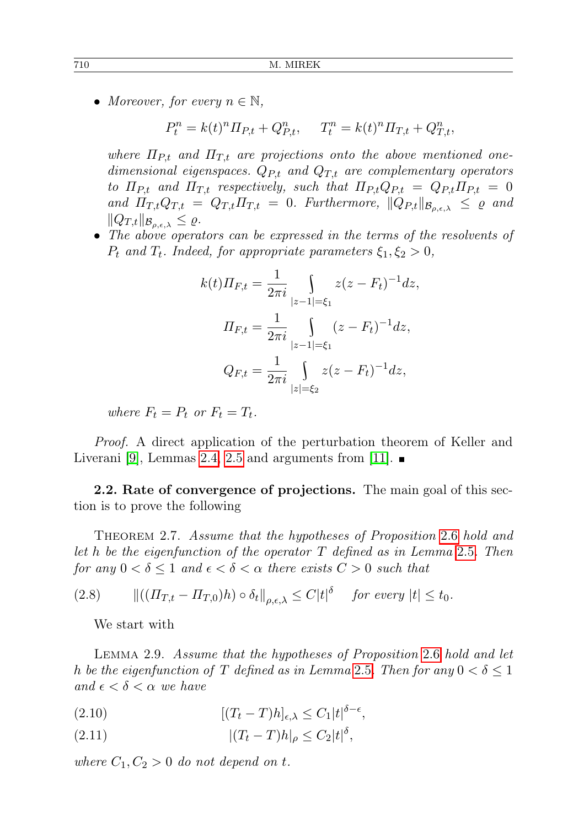• Moreover, for every  $n \in \mathbb{N}$ ,

$$
P_t^n = k(t)^n \Pi_{P,t} + Q_{P,t}^n, \quad T_t^n = k(t)^n \Pi_{T,t} + Q_{T,t}^n,
$$

where  $\Pi_{Pt}$  and  $\Pi_{T,t}$  are projections onto the above mentioned onedimensional eigenspaces.  $Q_{P,t}$  and  $Q_{T,t}$  are complementary operators to  $\Pi_{P,t}$  and  $\Pi_{T,t}$  respectively, such that  $\Pi_{P,t}Q_{P,t} = Q_{P,t}\Pi_{P,t} = 0$ and  $\Pi_{T,t}Q_{T,t} = Q_{T,t}\Pi_{T,t} = 0$ . Furthermore,  $||Q_{P,t}||_{\mathcal{B}_{\rho,\epsilon,\lambda}} \leq \varrho$  and  $||Q_{T,t}||_{\mathcal{B}_{\rho,\epsilon,\lambda}} \leq \varrho.$ 

• The above operators can be expressed in the terms of the resolvents of  $P_t$  and  $T_t$ . Indeed, for appropriate parameters  $\xi_1, \xi_2 > 0$ ,

$$
k(t)\Pi_{F,t} = \frac{1}{2\pi i} \int_{|z-1|=\xi_1} z(z - F_t)^{-1} dz,
$$
  

$$
\Pi_{F,t} = \frac{1}{2\pi i} \int_{|z-1|=\xi_1} (z - F_t)^{-1} dz,
$$
  

$$
Q_{F,t} = \frac{1}{2\pi i} \int_{|z|=\xi_2} z(z - F_t)^{-1} dz,
$$

where  $F_t = P_t$  or  $F_t = T_t$ .

Proof. A direct application of the perturbation theorem of Keller and Liverani [\[9\]](#page-15-3), Lemmas [2.4,](#page-4-1) [2.5](#page-4-2) and arguments from [\[11\]](#page-15-0).  $\blacksquare$ 

2.2. Rate of convergence of projections. The main goal of this section is to prove the following

<span id="page-5-2"></span>THEOREM 2.7. Assume that the hypotheses of Proposition [2.6](#page-4-0) hold and let h be the eigenfunction of the operator  $T$  defined as in Lemma [2.5](#page-4-2). Then for any  $0 < \delta \leq 1$  and  $\epsilon < \delta < \alpha$  there exists  $C > 0$  such that

$$
(2.8) \qquad ||((\Pi_{T,t} - \Pi_{T,0})h) \circ \delta_t||_{\rho,\epsilon,\lambda} \leq C|t|^{\delta} \quad \text{ for every } |t| \leq t_0.
$$

We start with

Lemma 2.9. Assume that the hypotheses of Proposition [2.6](#page-4-0) hold and let h be the eigenfunction of T defined as in Lemma [2.5](#page-4-2). Then for any  $0 < \delta \leq 1$ and  $\epsilon < \delta < \alpha$  we have

<span id="page-5-0"></span>(2.10)  $[(T_t - T)h]_{\epsilon,\lambda} \leq C_1 |t|^{\delta - \epsilon},$ 

<span id="page-5-1"></span>(2.11) 
$$
|(T_t - T)h|_{\rho} \le C_2 |t|^{\delta},
$$

where  $C_1, C_2 > 0$  do not depend on t.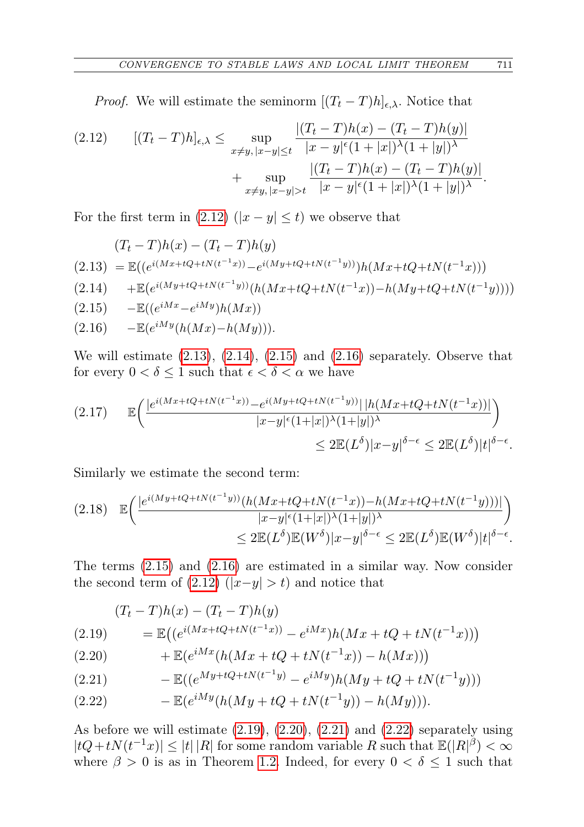*Proof.* We will estimate the seminorm  $[(T_t - T)h]_{\epsilon,\lambda}$ . Notice that

<span id="page-6-0"></span>
$$
(2.12) \qquad [(T_t - T)h]_{\epsilon,\lambda} \le \sup_{x \ne y, |x - y| \le t} \frac{|(T_t - T)h(x) - (T_t - T)h(y)|}{|x - y|^{\epsilon}(1 + |x|)^{\lambda}(1 + |y|)^{\lambda}} + \sup_{x \ne y, |x - y| > t} \frac{|(T_t - T)h(x) - (T_t - T)h(y)|}{|x - y|^{\epsilon}(1 + |x|)^{\lambda}(1 + |y|)^{\lambda}}.
$$

For the first term in [\(2.12\)](#page-6-0) ( $|x - y| \le t$ ) we observe that

<span id="page-6-3"></span><span id="page-6-2"></span><span id="page-6-1"></span>
$$
(T_t - T)h(x) - (T_t - T)h(y)
$$
  
(2.13) =  $\mathbb{E}((e^{i(Mx + tQ + tN(t^{-1}x))} - e^{i(My + tQ + tN(t^{-1}y))})h(Mx + tQ + tN(t^{-1}x)))$   
(2.14) +  $\mathbb{E}(e^{i(My + tQ + tN(t^{-1}y))}(h(Mx + tQ + tN(t^{-1}x)) - h(My + tQ + tN(t^{-1}y))))$   
(2.15) -  $\mathbb{E}((e^{iMx} - e^{iMy})h(Mx))$   
(2.16) -  $\mathbb{E}(e^{iMy}(h(Mx) - h(My))).$ 

<span id="page-6-4"></span>We will estimate [\(2.13\)](#page-6-1), [\(2.14\)](#page-6-2), [\(2.15\)](#page-6-3) and [\(2.16\)](#page-6-4) separately. Observe that for every  $0<\delta\leq 1$  such that  $\epsilon<\delta<\alpha$  we have

<span id="page-6-9"></span>
$$
(2.17) \qquad \mathbb{E}\bigg(\frac{|e^{i(Mx+tQ+tN(t^{-1}x))}-e^{i(My+tQ+tN(t^{-1}y))}||h(Mx+tQ+tN(t^{-1}x))|}{|x-y|^{\epsilon}(1+|x|)^{\lambda}(1+|y|)^{\lambda}}\bigg) \leq 2\mathbb{E}(L^{\delta})|x-y|^{\delta-\epsilon} \leq 2\mathbb{E}(L^{\delta})|t|^{\delta-\epsilon}.
$$

Similarly we estimate the second term:

<span id="page-6-10"></span>
$$
(2.18) \mathbb{E}\left(\frac{|e^{i(My+tQ+tN(t^{-1}y))}(h(Mx+tQ+tN(t^{-1}x))-h(Mx+tQ+tN(t^{-1}y)))|}{|x-y|^{\epsilon}(1+|x|)^{\lambda}(1+|y|)^{\lambda}}\right) \leq 2\mathbb{E}(L^{\delta})\mathbb{E}(W^{\delta})|x-y|^{\delta-\epsilon} \leq 2\mathbb{E}(L^{\delta})\mathbb{E}(W^{\delta})|t|^{\delta-\epsilon}.
$$

The terms [\(2.15\)](#page-6-3) and [\(2.16\)](#page-6-4) are estimated in a similar way. Now consider the second term of  $(2.12)$   $(|x-y| > t)$  and notice that

<span id="page-6-5"></span>(2.19) 
$$
(T_t - T)h(x) - (T_t - T)h(y)
$$

$$
= \mathbb{E}((e^{i(Mx + tQ + tN(t^{-1}x))} - e^{iMx})h(Mx + tQ + tN(t^{-1}x)))
$$

<span id="page-6-6"></span>(2.20) 
$$
+ \mathbb{E}(e^{iMx}(h(Mx + tQ + tN(t^{-1}x)) - h(Mx)))
$$

<span id="page-6-7"></span>(2.21) 
$$
- \mathbb{E}((e^{My + tQ + tN(t^{-1}y)} - e^{iMy})h(My + tQ + tN(t^{-1}y)))
$$

<span id="page-6-8"></span>(2.22) 
$$
- \mathbb{E}(e^{iMy}(h(My + tQ + tN(t^{-1}y)) - h(My))).
$$

As before we will estimate [\(2.19\)](#page-6-5), [\(2.20\)](#page-6-6), [\(2.21\)](#page-6-7) and [\(2.22\)](#page-6-8) separately using  $|tQ+tN(t^{-1}x)| \leq |t| |R|$  for some random variable R such that  $\mathbb{E}(|R|^{\beta}) < \infty$ where  $\beta > 0$  is as in Theorem [1.2.](#page-0-1) Indeed, for every  $0 < \delta \leq 1$  such that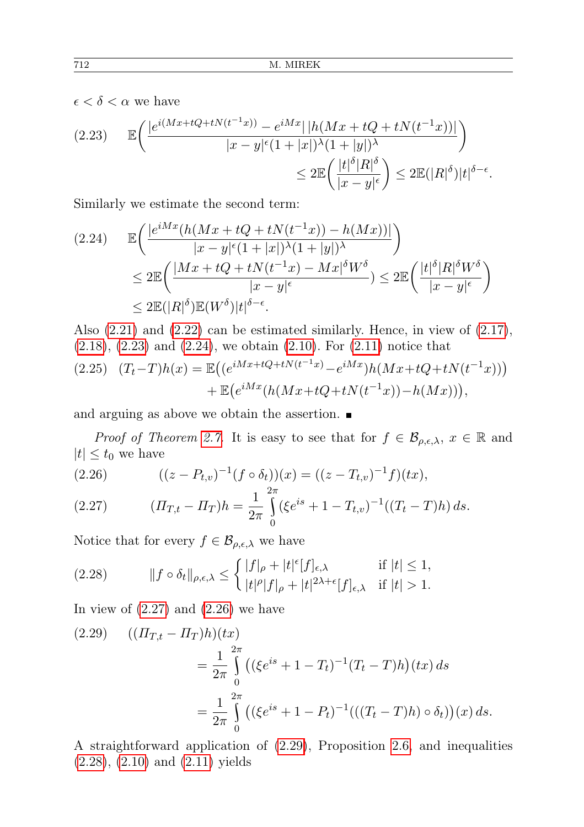$\epsilon < \delta < \alpha$  we have

<span id="page-7-0"></span>
$$
(2.23) \qquad \mathbb{E}\bigg(\frac{|e^{i(Mx+tQ+tN(t^{-1}x))}-e^{iMx}|\,|h(Mx+tQ+tN(t^{-1}x))|}{|x-y|^{\epsilon}(1+|x|)^{\lambda}(1+|y|)^{\lambda}}\bigg) \leq 2\mathbb{E}\bigg(\frac{|t|^{\delta}|R|^{\delta}}{|x-y|^{\epsilon}}\bigg) \leq 2\mathbb{E}(|R|^{\delta})|t|^{\delta-\epsilon}.
$$

Similarly we estimate the second term:

<span id="page-7-1"></span>
$$
(2.24) \qquad \mathbb{E}\left(\frac{|e^{iMx}(h(Mx+tQ+tN(t^{-1}x))-h(Mx))|}{|x-y|^{\epsilon}(1+|x|)^{\lambda}(1+|y|)^{\lambda}}\right) \n\leq 2\mathbb{E}\left(\frac{|Mx+tQ+tN(t^{-1}x)-Mx|^{\delta}W^{\delta}}{|x-y|^{\epsilon}}\right) \leq 2\mathbb{E}\left(\frac{|t|^{\delta}|R|^{\delta}W^{\delta}}{|x-y|^{\epsilon}}\right) \n\leq 2\mathbb{E}(|R|^{\delta})\mathbb{E}(W^{\delta})|t|^{\delta-\epsilon}.
$$

Also  $(2.21)$  and  $(2.22)$  can be estimated similarly. Hence, in view of  $(2.17)$ , [\(2.18\)](#page-6-10), [\(2.23\)](#page-7-0) and [\(2.24\)](#page-7-1), we obtain [\(2.10\)](#page-5-0). For [\(2.11\)](#page-5-1) notice that

$$
(2.25) \quad (T_t - T)h(x) = \mathbb{E}\left((e^{iMx + tQ + tN(t^{-1}x)} - e^{iMx})h(Mx + tQ + tN(t^{-1}x))\right) + \mathbb{E}\left(e^{iMx}(h(Mx + tQ + tN(t^{-1}x)) - h(Mx))\right),
$$

and arguing as above we obtain the assertion.

*Proof of Theorem [2.7.](#page-5-2)* It is easy to see that for  $f \in \mathcal{B}_{\rho,\epsilon,\lambda}$ ,  $x \in \mathbb{R}$  and  $|t| \leq t_0$  we have

<span id="page-7-3"></span>(2.26) 
$$
((z - P_{t,v})^{-1}(f \circ \delta_t))(x) = ((z - T_{t,v})^{-1}f)(tx),
$$

<span id="page-7-2"></span>(2.27) 
$$
(I T_{T,t} - I T_T) h = \frac{1}{2\pi} \int_{0}^{2\pi} (\xi e^{is} + 1 - T_{t,v})^{-1} ((T_t - T)h) ds.
$$

Notice that for every  $f \in \mathcal{B}_{\rho,\epsilon,\lambda}$  we have

<span id="page-7-5"></span>(2.28) 
$$
||f \circ \delta_t||_{\rho,\epsilon,\lambda} \leq \begin{cases} |f|_{\rho} + |t|^{\epsilon}[f]_{\epsilon,\lambda} & \text{if } |t| \leq 1, \\ |t|^{\rho}|f|_{\rho} + |t|^{2\lambda + \epsilon}[f]_{\epsilon,\lambda} & \text{if } |t| > 1. \end{cases}
$$

In view of  $(2.27)$  and  $(2.26)$  we have

<span id="page-7-4"></span>
$$
(2.29) \quad ((\Pi_{T,t} - \Pi_T)h)(tx)
$$
  
=  $\frac{1}{2\pi} \int_{0}^{2\pi} ((\xi e^{is} + 1 - T_t)^{-1} (T_t - T)h)(tx) ds$   
=  $\frac{1}{2\pi} \int_{0}^{2\pi} ((\xi e^{is} + 1 - P_t)^{-1}(((T_t - T)h) \circ \delta_t))(x) ds.$ 

A straightforward application of [\(2.29\)](#page-7-4), Proposition [2.6,](#page-4-0) and inequalities [\(2.28\)](#page-7-5), [\(2.10\)](#page-5-0) and [\(2.11\)](#page-5-1) yields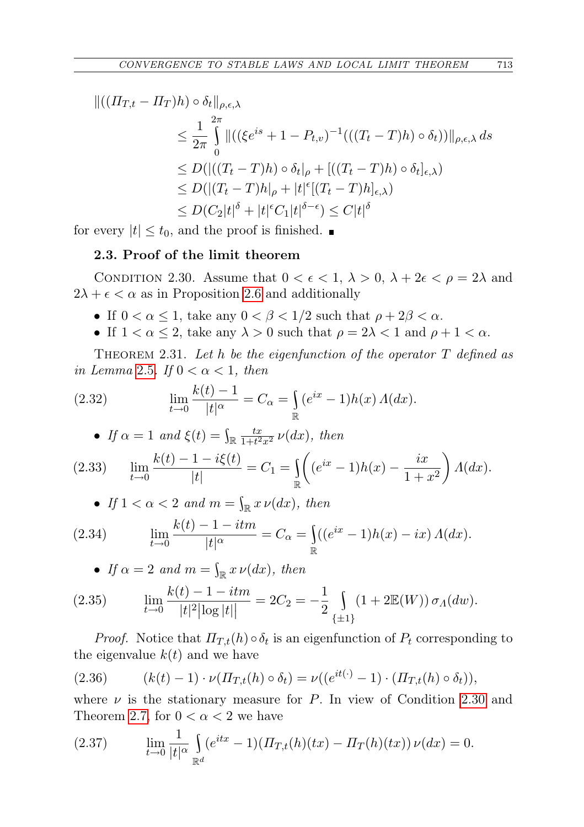$$
\begin{split} ||((\Pi_{T,t} - \Pi_T)h) \circ \delta_t||_{\rho,\epsilon,\lambda} \\ &\leq \frac{1}{2\pi} \int_0^{2\pi} ||((\xi e^{is} + 1 - P_{t,v})^{-1}(((T_t - T)h) \circ \delta_t))||_{\rho,\epsilon,\lambda} \, ds \\ &\leq D(|((T_t - T)h) \circ \delta_t|_{\rho} + [((T_t - T)h) \circ \delta_t]_{\epsilon,\lambda}) \\ &\leq D(|(T_t - T)h|_{\rho} + |t|^{\epsilon}[(T_t - T)h]_{\epsilon,\lambda}) \\ &\leq D(C_2|t|^{\delta} + |t|^{\epsilon}C_1|t|^{\delta-\epsilon}) \leq C|t|^{\delta} \end{split}
$$

for every  $|t| \leq t_0$ , and the proof is finished.

## 2.3. Proof of the limit theorem

<span id="page-8-0"></span>CONDITION 2.30. Assume that  $0 < \epsilon < 1$ ,  $\lambda > 0$ ,  $\lambda + 2\epsilon < \rho = 2\lambda$  and  $2\lambda + \epsilon < \alpha$  as in Proposition [2.6](#page-4-0) and additionally

- If  $0 < \alpha \leq 1$ , take any  $0 < \beta < 1/2$  such that  $\rho + 2\beta < \alpha$ .
- If  $1 < \alpha \leq 2$ , take any  $\lambda > 0$  such that  $\rho = 2\lambda < 1$  and  $\rho + 1 < \alpha$ .

<span id="page-8-5"></span>THEOREM 2.31. Let  $h$  be the eigenfunction of the operator  $T$  defined as in Lemma [2.5](#page-4-2). If  $0 < \alpha < 1$ , then

<span id="page-8-1"></span>(2.32) 
$$
\lim_{t \to 0} \frac{k(t) - 1}{|t|^{\alpha}} = C_{\alpha} = \int_{\mathbb{R}} (e^{ix} - 1) h(x) \Lambda(dx).
$$

• If 
$$
\alpha = 1
$$
 and  $\xi(t) = \int_{\mathbb{R}} \frac{tx}{1+t^2x^2} \nu(dx)$ , then

<span id="page-8-3"></span>
$$
(2.33) \qquad \lim_{t \to 0} \frac{k(t) - 1 - i\xi(t)}{|t|} = C_1 = \int_{\mathbb{R}} \left( (e^{ix} - 1)h(x) - \frac{ix}{1 + x^2} \right) \Lambda(dx).
$$

• If  $1 < \alpha < 2$  and  $m = \int_{\mathbb{R}} x \nu(dx)$ , then

(2.34) 
$$
\lim_{t \to 0} \frac{k(t) - 1 - itm}{|t|^{\alpha}} = C_{\alpha} = \int_{\mathbb{R}} ((e^{ix} - 1)h(x) - ix) \Lambda(dx).
$$

• If 
$$
\alpha = 2
$$
 and  $m = \int_{\mathbb{R}} x \nu(dx)$ , then

<span id="page-8-4"></span>(2.35) 
$$
\lim_{t \to 0} \frac{k(t) - 1 - itm}{|t|^2 |\log |t||} = 2C_2 = -\frac{1}{2} \int_{\{\pm 1\}} (1 + 2\mathbb{E}(W)) \sigma_A(dw).
$$

*Proof.* Notice that  $\Pi_{T,t}(h) \circ \delta_t$  is an eigenfunction of  $P_t$  corresponding to the eigenvalue  $k(t)$  and we have

(2.36) 
$$
(k(t)-1)\cdot \nu(\Pi_{T,t}(h)\circ\delta_t) = \nu((e^{it(\cdot)}-1)\cdot(\Pi_{T,t}(h)\circ\delta_t)),
$$

where  $\nu$  is the stationary measure for P. In view of Condition [2.30](#page-8-0) and Theorem [2.7,](#page-5-2) for  $0 < \alpha < 2$  we have

<span id="page-8-2"></span>(2.37) 
$$
\lim_{t \to 0} \frac{1}{|t|^{\alpha}} \int_{\mathbb{R}^d} (e^{itx} - 1) (H_{T,t}(h)(tx) - H_T(h)(tx)) \nu(dx) = 0.
$$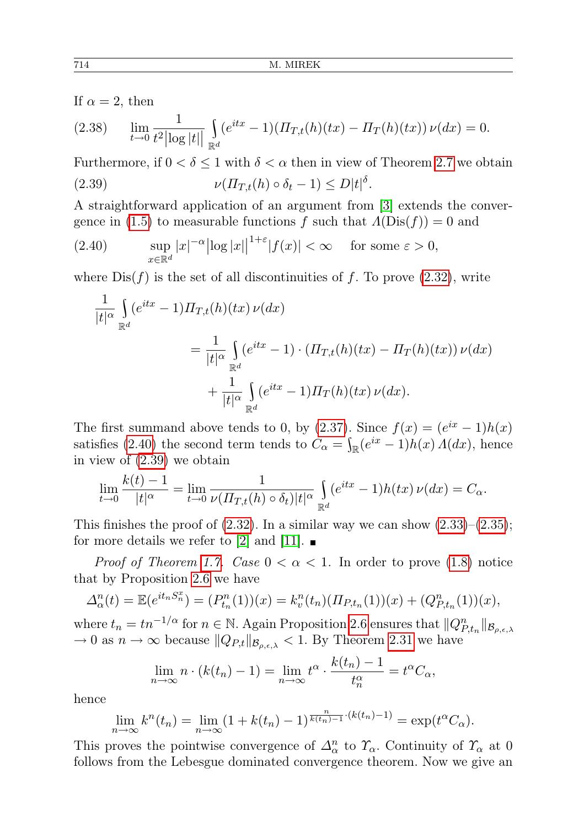If  $\alpha = 2$ , then

$$
(2.38) \qquad \lim_{t \to 0} \frac{1}{t^2 |\log|t||} \int_{\mathbb{R}^d} (e^{itx} - 1) (H_{T,t}(h)(tx) - H_T(h)(tx)) \nu(dx) = 0.
$$

<span id="page-9-1"></span>Furthermore, if  $0 < \delta \leq 1$  with  $\delta < \alpha$  then in view of Theorem [2.7](#page-5-2) we obtain (2.39)  $\nu(\Pi_{T,t}(h) \circ \delta_t - 1) \le D|t|^{\delta}.$ 

A straightforward application of an argument from [\[3\]](#page-14-4) extends the conver-gence in [\(1.5\)](#page-1-2) to measurable functions f such that  $\Lambda(Dis(f)) = 0$  and

<span id="page-9-0"></span>(2.40) 
$$
\sup_{x \in \mathbb{R}^d} |x|^{-\alpha} |\log |x||^{1+\varepsilon} |f(x)| < \infty \quad \text{ for some } \varepsilon > 0,
$$

where  $Dis(f)$  is the set of all discontinuities of f. To prove  $(2.32)$ , write

$$
\frac{1}{|t|^{\alpha}} \int_{\mathbb{R}^d} (e^{itx} - 1) \Pi_{T,t}(h)(tx) \nu(dx)
$$
  

$$
= \frac{1}{|t|^{\alpha}} \int_{\mathbb{R}^d} (e^{itx} - 1) \cdot (\Pi_{T,t}(h)(tx) - \Pi_T(h)(tx)) \nu(dx)
$$
  

$$
+ \frac{1}{|t|^{\alpha}} \int_{\mathbb{R}^d} (e^{itx} - 1) \Pi_T(h)(tx) \nu(dx).
$$

The first summand above tends to 0, by [\(2.37\)](#page-8-2). Since  $f(x) = (e^{ix} - 1)h(x)$ satisfies [\(2.40\)](#page-9-0) the second term tends to  $C_{\alpha} = \int_{\mathbb{R}} (e^{ix} - 1)h(x) A(dx)$ , hence in view of [\(2.39\)](#page-9-1) we obtain

$$
\lim_{t \to 0} \frac{k(t) - 1}{|t|^{\alpha}} = \lim_{t \to 0} \frac{1}{\nu(\Pi_{T,t}(h) \circ \delta_t)|t|^{\alpha}} \int_{\mathbb{R}^d} (e^{itx} - 1) h(tx) \nu(dx) = C_{\alpha}.
$$

This finishes the proof of  $(2.32)$ . In a similar way we can show  $(2.33)-(2.35)$  $(2.33)-(2.35)$  $(2.33)-(2.35)$ ; for more details we refer to [\[2\]](#page-14-2) and [\[11\]](#page-15-0).  $\blacksquare$ 

*Proof of Theorem [1.7.](#page-1-0) Case*  $0 < \alpha < 1$ . In order to prove [\(1.8\)](#page-1-3) notice that by Proposition [2.6](#page-4-0) we have

$$
\Delta_{\alpha}^{n}(t) = \mathbb{E}(e^{it_{n}S_{n}^{x}}) = (P_{t_{n}}^{n}(1))(x) = k_{v}^{n}(t_{n})(\Pi_{P,t_{n}}(1))(x) + (Q_{P,t_{n}}^{n}(1))(x),
$$

where  $t_n = tn^{-1/\alpha}$  for  $n \in \mathbb{N}$ . Again Proposition [2.6](#page-4-0) ensures that  $||Q_{P,t_n}^n||_{\mathcal{B}_{\rho,\epsilon,\lambda}}$  $\rightarrow 0$  as  $n \rightarrow \infty$  because  $||Q_{P,t}||_{\mathcal{B}_{q,\epsilon,\lambda}} < 1$ . By Theorem [2.31](#page-8-5) we have

$$
\lim_{n \to \infty} n \cdot (k(t_n) - 1) = \lim_{n \to \infty} t^{\alpha} \cdot \frac{k(t_n) - 1}{t_n^{\alpha}} = t^{\alpha} C_{\alpha},
$$

hence

$$
\lim_{n \to \infty} k^{n}(t_{n}) = \lim_{n \to \infty} (1 + k(t_{n}) - 1)^{\frac{n}{k(t_{n}) - 1} \cdot (k(t_{n}) - 1)} = \exp(t^{\alpha}C_{\alpha}).
$$

This proves the pointwise convergence of  $\Delta^n_\alpha$  to  $\varUpsilon_\alpha$ . Continuity of  $\varUpsilon_\alpha$  at 0 follows from the Lebesgue dominated convergence theorem. Now we give an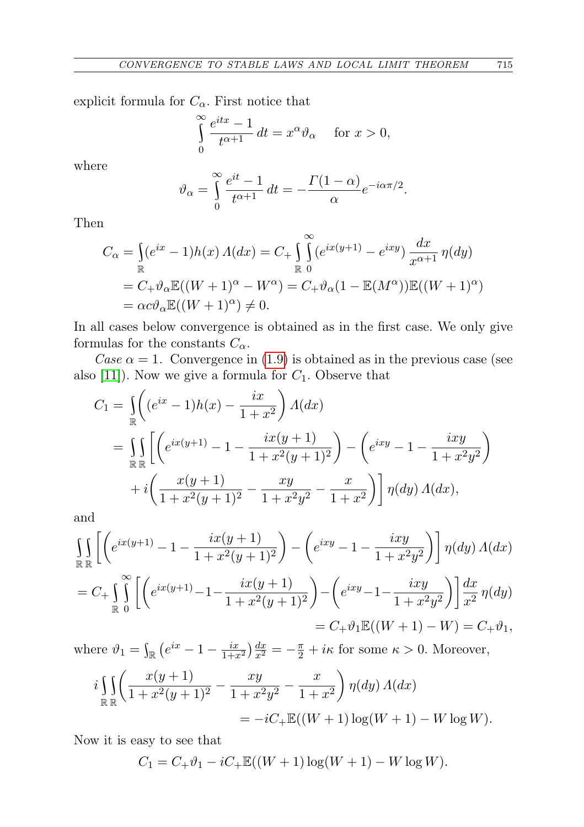explicit formula for  $C_{\alpha}$ . First notice that

$$
\int_{0}^{\infty} \frac{e^{itx} - 1}{t^{\alpha + 1}} dt = x^{\alpha} \vartheta_{\alpha} \quad \text{for } x > 0,
$$

where

$$
\vartheta_{\alpha} = \int_{0}^{\infty} \frac{e^{it} - 1}{t^{\alpha + 1}} dt = -\frac{\Gamma(1 - \alpha)}{\alpha} e^{-i\alpha \pi/2}.
$$

Then

$$
C_{\alpha} = \int_{\mathbb{R}} (e^{ix} - 1)h(x) \Lambda(dx) = C_{+} \int_{\mathbb{R}}^{\infty} (e^{ix(y+1)} - e^{ixy}) \frac{dx}{x^{\alpha+1}} \eta(dy)
$$
  
=  $C_{+} \vartheta_{\alpha} \mathbb{E}((W+1)^{\alpha} - W^{\alpha}) = C_{+} \vartheta_{\alpha} (1 - \mathbb{E}(M^{\alpha})) \mathbb{E}((W+1)^{\alpha})$   
=  $\alpha c \vartheta_{\alpha} \mathbb{E}((W+1)^{\alpha}) \neq 0.$ 

In all cases below convergence is obtained as in the first case. We only give formulas for the constants  $C_{\alpha}$ .

Case  $\alpha = 1$ . Convergence in [\(1.9\)](#page-1-4) is obtained as in the previous case (see also  $[11]$ ). Now we give a formula for  $C_1$ . Observe that

$$
C_1 = \iint_{\mathbb{R}} \left( (e^{ix} - 1)h(x) - \frac{ix}{1 + x^2} \right) A(dx)
$$
  
= 
$$
\iint_{\mathbb{R}} \left[ \left( e^{ix(y+1)} - 1 - \frac{ix(y+1)}{1 + x^2(y+1)^2} \right) - \left( e^{ixy} - 1 - \frac{ixy}{1 + x^2y^2} \right) + i \left( \frac{x(y+1)}{1 + x^2(y+1)^2} - \frac{xy}{1 + x^2y^2} - \frac{x}{1 + x^2} \right) \right] \eta(dy) A(dx),
$$

and

$$
\iint_{\mathbb{R}} \left[ \left( e^{ix(y+1)} - 1 - \frac{ix(y+1)}{1+x^2(y+1)^2} \right) - \left( e^{ixy} - 1 - \frac{ixy}{1+x^2y^2} \right) \right] \eta(dy) \Lambda(dx)
$$
\n
$$
= C_+ \iint_{\mathbb{R}} \left[ \left( e^{ix(y+1)} - 1 - \frac{ix(y+1)}{1+x^2(y+1)^2} \right) - \left( e^{ixy} - 1 - \frac{ixy}{1+x^2y^2} \right) \right] \frac{dx}{x^2} \eta(dy)
$$
\n
$$
= C_+ \vartheta_1 \mathbb{E}((W+1) - W) = C_+ \vartheta_1,
$$

where  $\vartheta_1 = \int_{\mathbb{R}} \left( e^{ix} - 1 - \frac{ix}{1+x^2} \right) \frac{dx}{x^2} = -\frac{\pi}{2} + i\kappa$  for some  $\kappa > 0$ . Moreover,  $\mathbf{r}$ ╲

$$
i \iint_{\mathbb{R}} \left( \frac{x(y+1)}{1+x^2(y+1)^2} - \frac{xy}{1+x^2y^2} - \frac{x}{1+x^2} \right) \eta(dy) \Lambda(dx)
$$
  
=  $-iC_+ \mathbb{E}((W+1) \log(W+1) - W \log W).$ 

Now it is easy to see that

$$
C_1 = C_+ \vartheta_1 - iC_+ \mathbb{E}((W+1)\log(W+1) - W \log W).
$$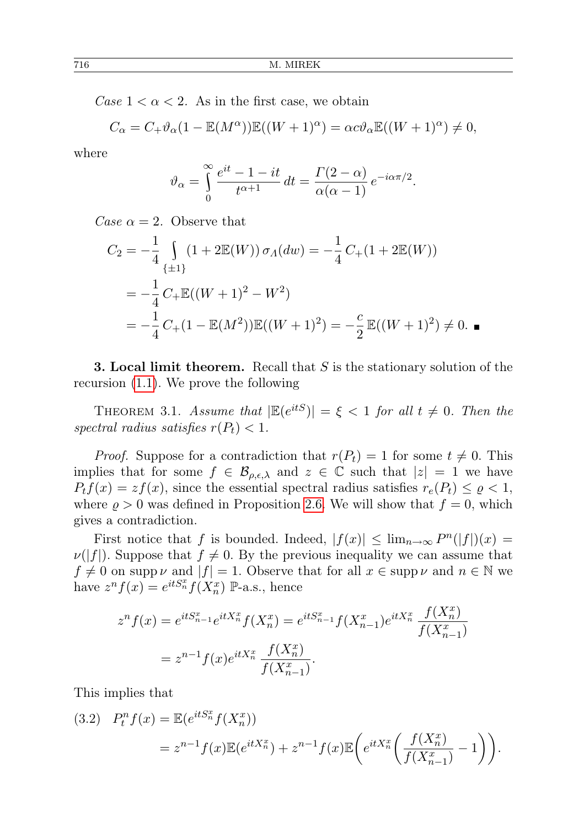Case  $1 < \alpha < 2$ . As in the first case, we obtain

$$
C_{\alpha} = C_{+} \vartheta_{\alpha} (1 - \mathbb{E}(M^{\alpha})) \mathbb{E}((W+1)^{\alpha}) = \alpha c \vartheta_{\alpha} \mathbb{E}((W+1)^{\alpha}) \neq 0,
$$

where

$$
\vartheta_{\alpha} = \int_{0}^{\infty} \frac{e^{it} - 1 - it}{t^{\alpha + 1}} dt = \frac{\Gamma(2 - \alpha)}{\alpha(\alpha - 1)} e^{-i\alpha\pi/2}.
$$

Case  $\alpha = 2$ . Observe that

$$
C_2 = -\frac{1}{4} \int_{\{\pm 1\}} (1 + 2\mathbb{E}(W)) \sigma_A(dw) = -\frac{1}{4} C_+(1 + 2\mathbb{E}(W))
$$
  
=  $-\frac{1}{4} C_+ \mathbb{E}((W+1)^2 - W^2)$   
=  $-\frac{1}{4} C_+(1 - \mathbb{E}(M^2)) \mathbb{E}((W+1)^2) = -\frac{c}{2} \mathbb{E}((W+1)^2) \neq 0.$ 

**3. Local limit theorem.** Recall that  $S$  is the stationary solution of the recursion [\(1.1\)](#page-0-0). We prove the following

<span id="page-11-0"></span>THEOREM 3.1. Assume that  $|\mathbb{E}(e^{itS})| = \xi < 1$  for all  $t \neq 0$ . Then the spectral radius satisfies  $r(P_t) < 1$ .

*Proof.* Suppose for a contradiction that  $r(P_t) = 1$  for some  $t \neq 0$ . This implies that for some  $f \in \mathcal{B}_{\rho,\epsilon,\lambda}$  and  $z \in \mathbb{C}$  such that  $|z|=1$  we have  $P_t f(x) = z f(x)$ , since the essential spectral radius satisfies  $r_e(P_t) \leq \rho < 1$ , where  $\rho > 0$  was defined in Proposition [2.6.](#page-4-0) We will show that  $f = 0$ , which gives a contradiction.

First notice that f is bounded. Indeed,  $|f(x)| \leq \lim_{n \to \infty} P^{n}(|f|)(x) =$  $\nu(|f|)$ . Suppose that  $f \neq 0$ . By the previous inequality we can assume that  $f \neq 0$  on supp  $\nu$  and  $|f| = 1$ . Observe that for all  $x \in \text{supp } \nu$  and  $n \in \mathbb{N}$  we have  $z^n f(x) = e^{itS_n^x} f(X_n^x)$  P-a.s., hence

$$
z^n f(x) = e^{itS_{n-1}^x} e^{itX_n^x} f(X_n^x) = e^{itS_{n-1}^x} f(X_{n-1}^x) e^{itX_n^x} \frac{f(X_n^x)}{f(X_{n-1}^x)}
$$
  
=  $z^{n-1} f(x) e^{itX_n^x} \frac{f(X_n^x)}{f(X_{n-1}^x)}$ .

This implies that

<span id="page-11-1"></span>
$$
(3.2) \quad P_t^n f(x) = \mathbb{E}(e^{itS_n^x} f(X_n^x))
$$
  
=  $z^{n-1} f(x) \mathbb{E}(e^{itX_n^x}) + z^{n-1} f(x) \mathbb{E}\left(e^{itX_n^x} \left(\frac{f(X_n^x)}{f(X_{n-1}^x)} - 1\right)\right).$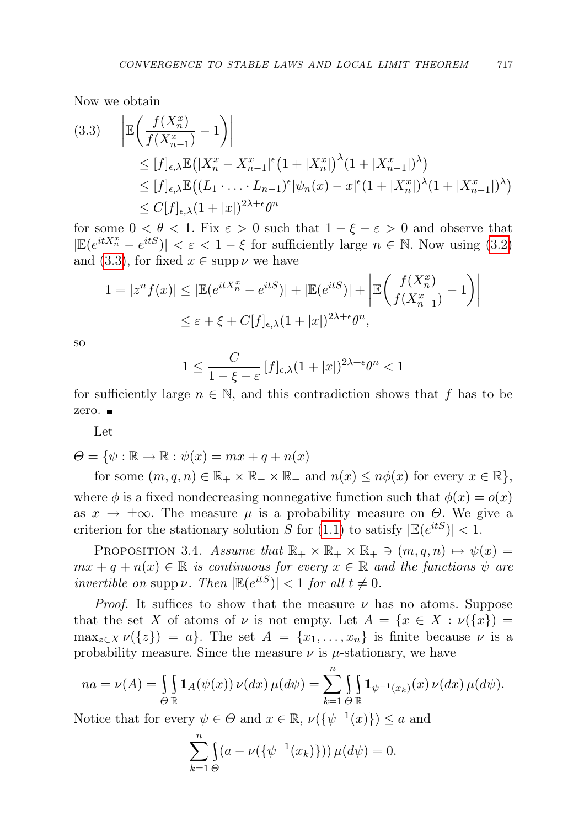Now we obtain

<span id="page-12-0"></span>
$$
(3.3) \quad \left| \mathbb{E} \left( \frac{f(X_n^x)}{f(X_{n-1}^x)} - 1 \right) \right|
$$
  
\n
$$
\leq [f]_{\epsilon,\lambda} \mathbb{E} \left( |X_n^x - X_{n-1}^x|^{\epsilon} \left( 1 + |X_n^x| \right)^{\lambda} (1 + |X_{n-1}^x|)^{\lambda} \right)
$$
  
\n
$$
\leq [f]_{\epsilon,\lambda} \mathbb{E} \left( (L_1 \cdot \ldots \cdot L_{n-1})^{\epsilon} |\psi_n(x) - x|^{\epsilon} (1 + |X_n^x|)^{\lambda} (1 + |X_{n-1}^x|)^{\lambda} \right)
$$
  
\n
$$
\leq C[f]_{\epsilon,\lambda} (1 + |x|)^{2\lambda + \epsilon} \theta^n
$$

for some  $0 < \theta < 1$ . Fix  $\varepsilon > 0$  such that  $1 - \xi - \varepsilon > 0$  and observe that  $|\mathbb{E}(e^{itX_n^x}-e^{itS})| < \varepsilon < 1-\xi$  for sufficiently large  $n \in \mathbb{N}$ . Now using [\(3.2\)](#page-11-1) and [\(3.3\)](#page-12-0), for fixed  $x \in \text{supp}\,\nu$  we have

$$
1 = |z^n f(x)| \le |\mathbb{E}(e^{itX_n^x} - e^{itS})| + |\mathbb{E}(e^{itS})| + \left| \mathbb{E}\left(\frac{f(X_n^x)}{f(X_{n-1}^x)} - 1\right) \right|
$$
  

$$
\le \varepsilon + \xi + C[f]_{\varepsilon, \lambda} (1 + |x|)^{2\lambda + \varepsilon} \theta^n,
$$

so

$$
1 \le \frac{C}{1 - \xi - \varepsilon} \left[ f \right]_{\epsilon, \lambda} (1 + |x|)^{2\lambda + \epsilon} \theta^n < 1
$$

for sufficiently large  $n \in \mathbb{N}$ , and this contradiction shows that f has to be zero.

Let

$$
\varTheta = \{\psi: \mathbb{R} \to \mathbb{R}: \psi(x) = mx + q + n(x)
$$

for some  $(m, q, n) \in \mathbb{R}_+ \times \mathbb{R}_+ \times \mathbb{R}_+$  and  $n(x) \leq n\phi(x)$  for every  $x \in \mathbb{R}$ , where  $\phi$  is a fixed nondecreasing nonnegative function such that  $\phi(x) = o(x)$ as  $x \to \pm \infty$ . The measure  $\mu$  is a probability measure on  $\Theta$ . We give a criterion for the stationary solution S for [\(1.1\)](#page-0-0) to satisfy  $|\mathbb{E}(e^{itS})| < 1$ .

PROPOSITION 3.4. Assume that  $\mathbb{R}_+ \times \mathbb{R}_+ \times \mathbb{R}_+ \ni (m, q, n) \mapsto \psi(x) =$  $mx + q + n(x) \in \mathbb{R}$  is continuous for every  $x \in \mathbb{R}$  and the functions  $\psi$  are invertible on supp v. Then  $|\mathbb{E}(e^{itS})| < 1$  for all  $t \neq 0$ .

*Proof.* It suffices to show that the measure  $\nu$  has no atoms. Suppose that the set X of atoms of  $\nu$  is not empty. Let  $A = \{x \in X : \nu(\lbrace x \rbrace) =$  $\max_{z \in X} \nu({z}) = a$ . The set  $A = {x_1, \ldots, x_n}$  is finite because  $\nu$  is a probability measure. Since the measure  $\nu$  is  $\mu$ -stationary, we have

$$
na = \nu(A) = \iint_{\Theta} \mathbf{1}_A(\psi(x)) \nu(dx) \mu(d\psi) = \sum_{k=1}^n \iint_{\mathbb{R}} \mathbf{1}_{\psi^{-1}(x_k)}(x) \nu(dx) \mu(d\psi).
$$

Notice that for every  $\psi \in \Theta$  and  $x \in \mathbb{R}$ ,  $\nu(\{\psi^{-1}(x)\}) \leq a$  and

$$
\sum_{k=1}^{n} \int_{\Theta} (a - \nu(\{\psi^{-1}(x_k)\})) \mu(d\psi) = 0.
$$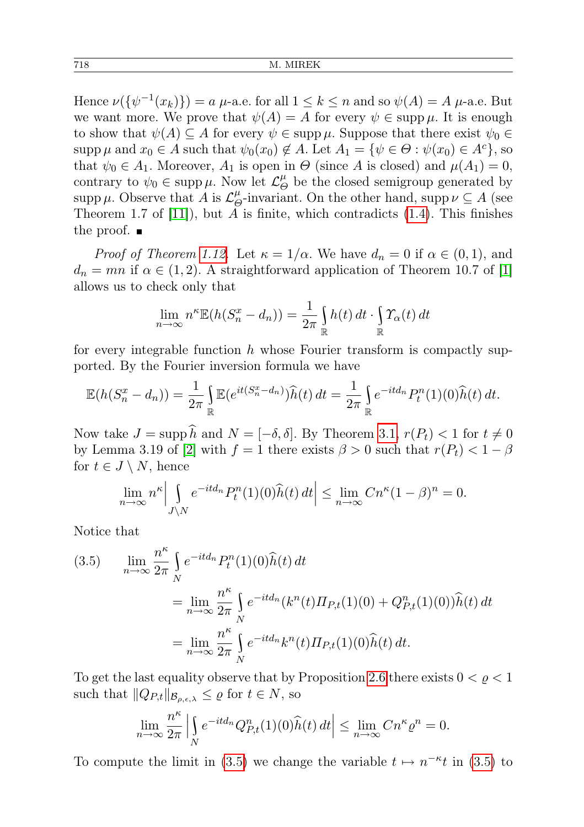Hence  $\nu(\{\psi^{-1}(x_k)\}) = a \mu$ -a.e. for all  $1 \le k \le n$  and so  $\psi(A) = A \mu$ -a.e. But we want more. We prove that  $\psi(A) = A$  for every  $\psi \in \text{supp }\mu$ . It is enough to show that  $\psi(A) \subseteq A$  for every  $\psi \in \text{supp }\mu$ . Suppose that there exist  $\psi_0 \in$ supp  $\mu$  and  $x_0 \in A$  such that  $\psi_0(x_0) \notin A$ . Let  $A_1 = \{ \psi \in \Theta : \psi(x_0) \in A^c \}$ , so that  $\psi_0 \in A_1$ . Moreover,  $A_1$  is open in  $\Theta$  (since A is closed) and  $\mu(A_1) = 0$ , contrary to  $\psi_0 \in \text{supp }\mu$ . Now let  $\mathcal{L}_{\epsilon}^{\mu}$  $\stackrel{\mu}{\Theta}$  be the closed semigroup generated by supp  $\mu$ . Observe that A is  $\mathcal{L}_{\beta}^{\mu}$  $^{\mu}_{\Theta}$ -invariant. On the other hand, supp  $\nu \subseteq A$  (see Theorem 1.7 of  $[11]$ , but A is finite, which contradicts  $(1.4)$ . This finishes the proof.  $\blacksquare$ 

*Proof of Theorem [1.12.](#page-2-0)* Let  $\kappa = 1/\alpha$ . We have  $d_n = 0$  if  $\alpha \in (0,1)$ , and  $d_n = mn$  if  $\alpha \in (1, 2)$ . A straightforward application of Theorem 10.7 of [\[1\]](#page-14-7) allows us to check only that

$$
\lim_{n \to \infty} n^k \mathbb{E}(h(S_n^x - d_n)) = \frac{1}{2\pi} \int_{\mathbb{R}} h(t) dt \cdot \int_{\mathbb{R}} \Upsilon_{\alpha}(t) dt
$$

for every integrable function  $h$  whose Fourier transform is compactly supported. By the Fourier inversion formula we have

$$
\mathbb{E}(h(S_n^x - d_n)) = \frac{1}{2\pi} \int_{\mathbb{R}} \mathbb{E}(e^{it(S_n^x - d_n)}) \widehat{h}(t) dt = \frac{1}{2\pi} \int_{\mathbb{R}} e^{-itd_n} P_t^n(1)(0) \widehat{h}(t) dt.
$$

Now take  $J = \text{supp }\hat{h}$  and  $N = [-\delta, \delta]$ . By Theorem [3.1,](#page-11-0)  $r(P_t) < 1$  for  $t \neq 0$ by Lemma 3.19 of [\[2\]](#page-14-2) with  $f = 1$  there exists  $\beta > 0$  such that  $r(P_t) < 1 - \beta$ for  $t \in J \setminus N$ , hence

$$
\lim_{n \to \infty} n^{\kappa} \Big| \int_{J \setminus N} e^{-itd_n} P_t^n(1)(0) \widehat{h}(t) dt \Big| \le \lim_{n \to \infty} C n^{\kappa} (1 - \beta)^n = 0.
$$

Notice that

<span id="page-13-0"></span>(3.5) 
$$
\lim_{n \to \infty} \frac{n^{\kappa}}{2\pi} \int_{N} e^{-itd_n} P_t^n(1)(0) \hat{h}(t) dt
$$
  
\n
$$
= \lim_{n \to \infty} \frac{n^{\kappa}}{2\pi} \int_{N} e^{-itd_n} (k^n(t) \Pi_{P,t}(1)(0) + Q_{P,t}^n(1)(0)) \hat{h}(t) dt
$$
  
\n
$$
= \lim_{n \to \infty} \frac{n^{\kappa}}{2\pi} \int_{N} e^{-itd_n} k^n(t) \Pi_{P,t}(1)(0) \hat{h}(t) dt.
$$

To get the last equality observe that by Proposition [2.6](#page-4-0) there exists  $0 < \varrho < 1$ such that  $||Q_{P,t}||_{\mathcal{B}_{\rho,\epsilon,\lambda}} \leq \varrho$  for  $t \in N$ , so

$$
\lim_{n \to \infty} \frac{n^{\kappa}}{2\pi} \left| \int_{N} e^{-itd_n} Q_{P,t}^n(1)(0) \widehat{h}(t) dt \right| \le \lim_{n \to \infty} C n^{\kappa} \varrho^n = 0.
$$

To compute the limit in [\(3.5\)](#page-13-0) we change the variable  $t \mapsto n^{-\kappa}t$  in (3.5) to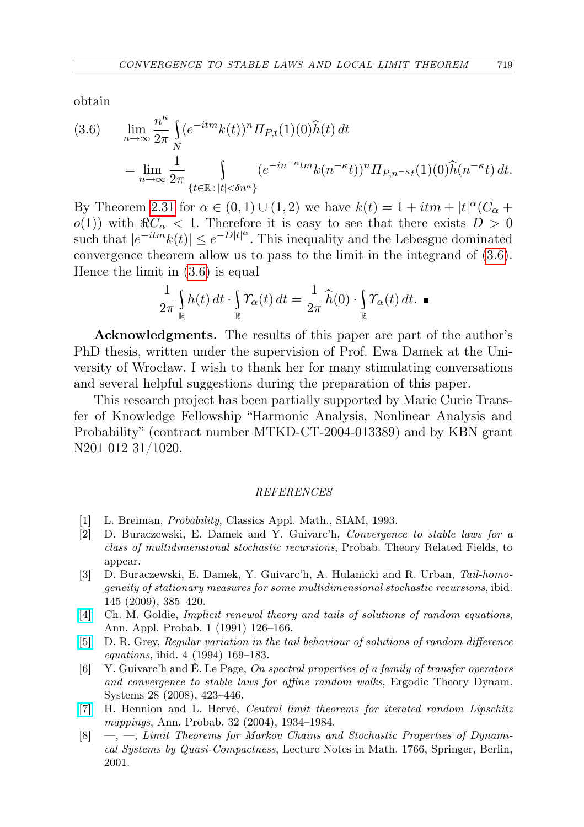obtain

<span id="page-14-8"></span>(3.6) 
$$
\lim_{n \to \infty} \frac{n^{\kappa}}{2\pi} \int_{N} (e^{-itm}k(t))^n \Pi_{P,t}(1)(0)\hat{h}(t) dt
$$
  
= 
$$
\lim_{n \to \infty} \frac{1}{2\pi} \int_{\{t \in \mathbb{R} : |t| < \delta n^{\kappa}\}} (e^{-in^{-\kappa}tm}k(n^{-\kappa}t))^n \Pi_{P,n^{-\kappa}t}(1)(0)\hat{h}(n^{-\kappa}t) dt.
$$

By Theorem [2.31](#page-8-5) for  $\alpha \in (0,1) \cup (1,2)$  we have  $k(t) = 1 + itm + |t|^{\alpha}(C_{\alpha} +$  $o(1)$ ) with  $\Re C_{\alpha} < 1$ . Therefore it is easy to see that there exists  $D > 0$ such that  $|e^{-itm}k(t)| \leq e^{-D|t|^{\alpha}}$ . This inequality and the Lebesgue dominated convergence theorem allow us to pass to the limit in the integrand of [\(3.6\)](#page-14-8). Hence the limit in [\(3.6\)](#page-14-8) is equal

$$
\frac{1}{2\pi}\int_{\mathbb{R}} h(t) dt \cdot \int_{\mathbb{R}} \Upsilon_{\alpha}(t) dt = \frac{1}{2\pi} \widehat{h}(0) \cdot \int_{\mathbb{R}} \Upsilon_{\alpha}(t) dt. \blacksquare
$$

Acknowledgments. The results of this paper are part of the author's PhD thesis, written under the supervision of Prof. Ewa Damek at the University of Wrocław. I wish to thank her for many stimulating conversations and several helpful suggestions during the preparation of this paper.

This research project has been partially supported by Marie Curie Transfer of Knowledge Fellowship "Harmonic Analysis, Nonlinear Analysis and Probability" (contract number MTKD-CT-2004-013389) and by KBN grant N201 012 31/1020.

## REFERENCES

- <span id="page-14-7"></span>[1] L. Breiman, Probability, Classics Appl. Math., SIAM, 1993.
- <span id="page-14-2"></span>[2] D. Buraczewski, E. Damek and Y. Guivarc'h, Convergence to stable laws for a class of multidimensional stochastic recursions, Probab. Theory Related Fields, to appear.
- <span id="page-14-4"></span>[3] D. Buraczewski, E. Damek, Y. Guivarc'h, A. Hulanicki and R. Urban, Tail-homogeneity of stationary measures for some multidimensional stochastic recursions, ibid. 145 (2009), 385–420.
- <span id="page-14-3"></span>[\[4\]](http://dx.doi.org/10.1214/aoap/1177005985) Ch. M. Goldie, Implicit renewal theory and tails of solutions of random equations, Ann. Appl. Probab. 1 (1991) 126–166.
- <span id="page-14-0"></span>[\[5\]](http://dx.doi.org/10.1214/aoap/1177005205) D. R. Grey, Regular variation in the tail behaviour of solutions of random difference equations, ibid. 4 (1994) 169–183.
- <span id="page-14-1"></span>[6] Y. Guivarc'h and É. Le Page, On spectral properties of a family of transfer operators and convergence to stable laws for affine random walks, Ergodic Theory Dynam. Systems 28 (2008), 423–446.
- <span id="page-14-5"></span>[\[7\]](http://dx.doi.org/10.1214/009117904000000469) H. Hennion and L. Hervé, Central limit theorems for iterated random Lipschitz mappings, Ann. Probab. 32 (2004), 1934–1984.
- <span id="page-14-6"></span>[8] —, —, Limit Theorems for Markov Chains and Stochastic Properties of Dynamical Systems by Quasi-Compactness, Lecture Notes in Math. 1766, Springer, Berlin, 2001.